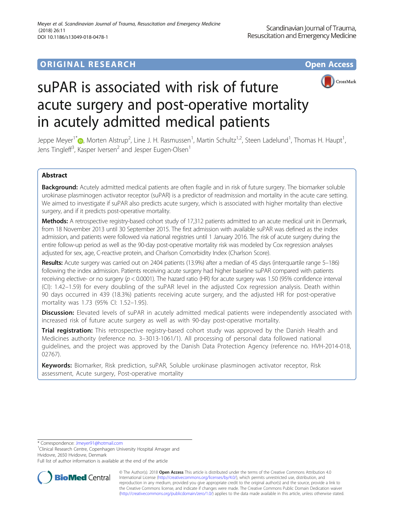## **ORIGINAL RESEARCH CONSUMING ACCESS**





# suPAR is associated with risk of future acute surgery and post-operative mortality in acutely admitted medical patients

Jeppe Meyer<sup>1[\\*](http://orcid.org/0000-0001-9249-5212)</sup> (D, Morten Alstrup<sup>2</sup>, Line J. H. Rasmussen<sup>1</sup>, Martin Schultz<sup>1,2</sup>, Steen Ladelund<sup>1</sup>, Thomas H. Haupt<sup>1</sup> , Jens Tingleff<sup>3</sup>, Kasper Iversen<sup>2</sup> and Jesper Eugen-Olsen<sup>1</sup>

## Abstract

Background: Acutely admitted medical patients are often fragile and in risk of future surgery. The biomarker soluble urokinase plasminogen activator receptor (suPAR) is a predictor of readmission and mortality in the acute care setting. We aimed to investigate if suPAR also predicts acute surgery, which is associated with higher mortality than elective surgery, and if it predicts post-operative mortality.

Methods: A retrospective registry-based cohort study of 17,312 patients admitted to an acute medical unit in Denmark, from 18 November 2013 until 30 September 2015. The first admission with available suPAR was defined as the index admission, and patients were followed via national registries until 1 January 2016. The risk of acute surgery during the entire follow-up period as well as the 90-day post-operative mortality risk was modeled by Cox regression analyses adjusted for sex, age, C-reactive protein, and Charlson Comorbidity Index (Charlson Score).

Results: Acute surgery was carried out on 2404 patients (13.9%) after a median of 45 days (interquartile range 5-186) following the index admission. Patients receiving acute surgery had higher baseline suPAR compared with patients receiving elective- or no surgery ( $p < 0.0001$ ). The hazard ratio (HR) for acute surgery was 1.50 (95% confidence interval (CI): 1.42–1.59) for every doubling of the suPAR level in the adjusted Cox regression analysis. Death within 90 days occurred in 439 (18.3%) patients receiving acute surgery, and the adjusted HR for post-operative mortality was 1.73 (95% CI: 1.52–1.95).

**Discussion:** Elevated levels of suPAR in acutely admitted medical patients were independently associated with increased risk of future acute surgery as well as with 90-day post-operative mortality.

Trial registration: This retrospective registry-based cohort study was approved by the Danish Health and Medicines authority (reference no. 3–3013-1061/1). All processing of personal data followed national guidelines, and the project was approved by the Danish Data Protection Agency (reference no. HVH-2014-018, 02767).

Keywords: Biomarker, Risk prediction, suPAR, Soluble urokinase plasminogen activator receptor, Risk assessment, Acute surgery, Post-operative mortality

\* Correspondence: [Jmeyer91@hotmail.com](mailto:Jmeyer91@hotmail.com) <sup>1</sup>

<sup>1</sup> Clinical Research Centre, Copenhagen University Hospital Amager and Hvidovre, 2650 Hvidovre, Denmark

Full list of author information is available at the end of the article



© The Author(s). 2018 Open Access This article is distributed under the terms of the Creative Commons Attribution 4.0 International License [\(http://creativecommons.org/licenses/by/4.0/](http://creativecommons.org/licenses/by/4.0/)), which permits unrestricted use, distribution, and reproduction in any medium, provided you give appropriate credit to the original author(s) and the source, provide a link to the Creative Commons license, and indicate if changes were made. The Creative Commons Public Domain Dedication waiver [\(http://creativecommons.org/publicdomain/zero/1.0/](http://creativecommons.org/publicdomain/zero/1.0/)) applies to the data made available in this article, unless otherwise stated.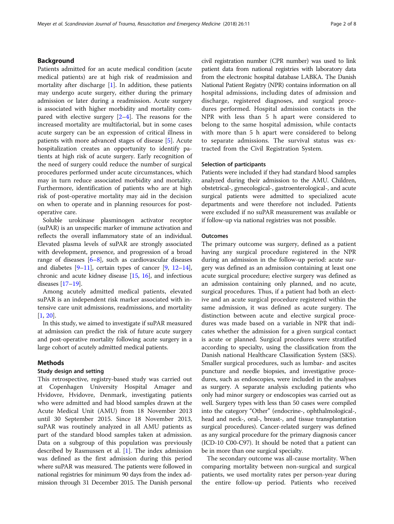## Background

Patients admitted for an acute medical condition (acute medical patients) are at high risk of readmission and mortality after discharge [\[1](#page-6-0)]. In addition, these patients may undergo acute surgery, either during the primary admission or later during a readmission. Acute surgery is associated with higher morbidity and mortality compared with elective surgery  $[2-4]$  $[2-4]$  $[2-4]$  $[2-4]$  $[2-4]$ . The reasons for the increased mortality are multifactorial, but in some cases acute surgery can be an expression of critical illness in patients with more advanced stages of disease [[5\]](#page-6-0). Acute hospitalization creates an opportunity to identify patients at high risk of acute surgery. Early recognition of the need of surgery could reduce the number of surgical procedures performed under acute circumstances, which may in turn reduce associated morbidity and mortality. Furthermore, identification of patients who are at high risk of post-operative mortality may aid in the decision on when to operate and in planning resources for postoperative care.

Soluble urokinase plasminogen activator receptor (suPAR) is an unspecific marker of immune activation and reflects the overall inflammatory state of an individual. Elevated plasma levels of suPAR are strongly associated with development, presence, and progression of a broad range of diseases  $[6-8]$  $[6-8]$  $[6-8]$  $[6-8]$  $[6-8]$ , such as cardiovascular diseases and diabetes [[9](#page-6-0)–[11](#page-6-0)], certain types of cancer [[9,](#page-6-0) [12](#page-6-0)–[14](#page-6-0)], chronic and acute kidney disease [\[15,](#page-6-0) [16](#page-6-0)], and infectious diseases [\[17](#page-6-0)–[19](#page-6-0)].

Among acutely admitted medical patients, elevated suPAR is an independent risk marker associated with intensive care unit admissions, readmissions, and mortality [[1,](#page-6-0) [20\]](#page-6-0).

In this study, we aimed to investigate if suPAR measured at admission can predict the risk of future acute surgery and post-operative mortality following acute surgery in a large cohort of acutely admitted medical patients.

## Methods

## Study design and setting

This retrospective, registry-based study was carried out at Copenhagen University Hospital Amager and Hvidovre, Hvidovre, Denmark, investigating patients who were admitted and had blood samples drawn at the Acute Medical Unit (AMU) from 18 November 2013 until 30 September 2015. Since 18 November 2013, suPAR was routinely analyzed in all AMU patients as part of the standard blood samples taken at admission. Data on a subgroup of this population was previously described by Rasmussen et al. [\[1](#page-6-0)]. The index admission was defined as the first admission during this period where suPAR was measured. The patients were followed in national registries for minimum 90 days from the index admission through 31 December 2015. The Danish personal civil registration number (CPR number) was used to link patient data from national registries with laboratory data from the electronic hospital database LABKA. The Danish National Patient Registry (NPR) contains information on all hospital admissions, including dates of admission and discharge, registered diagnoses, and surgical procedures performed. Hospital admission contacts in the NPR with less than 5 h apart were considered to belong to the same hospital admission, while contacts with more than 5 h apart were considered to belong to separate admissions. The survival status was extracted from the Civil Registration System.

## Selection of participants

Patients were included if they had standard blood samples analyzed during their admission to the AMU. Children, obstetrical-, gynecological-, gastroenterological-, and acute surgical patients were admitted to specialized acute departments and were therefore not included. Patients were excluded if no suPAR measurement was available or if follow-up via national registries was not possible.

## **Outcomes**

The primary outcome was surgery, defined as a patient having any surgical procedure registered in the NPR during an admission in the follow-up period: acute surgery was defined as an admission containing at least one acute surgical procedure; elective surgery was defined as an admission containing only planned, and no acute, surgical procedures. Thus, if a patient had both an elective and an acute surgical procedure registered within the same admission, it was defined as acute surgery. The distinction between acute and elective surgical procedures was made based on a variable in NPR that indicates whether the admission for a given surgical contact is acute or planned. Surgical procedures were stratified according to specialty, using the classification from the Danish national Healthcare Classification System (SKS). Smaller surgical procedures, such as lumbar- and ascites puncture and needle biopsies, and investigative procedures, such as endoscopies, were included in the analyses as surgery. A separate analysis excluding patients who only had minor surgery or endoscopies was carried out as well. Surgery types with less than 50 cases were compiled into the category "Other" (endocrine-, ophthalmological-, head and neck-, oral-, breast-, and tissue transplantation surgical procedures). Cancer-related surgery was defined as any surgical procedure for the primary diagnosis cancer (ICD-10 C00-C97). It should be noted that a patient can be in more than one surgical specialty.

The secondary outcome was all-cause mortality. When comparing mortality between non-surgical and surgical patients, we used mortality rates per person-year during the entire follow-up period. Patients who received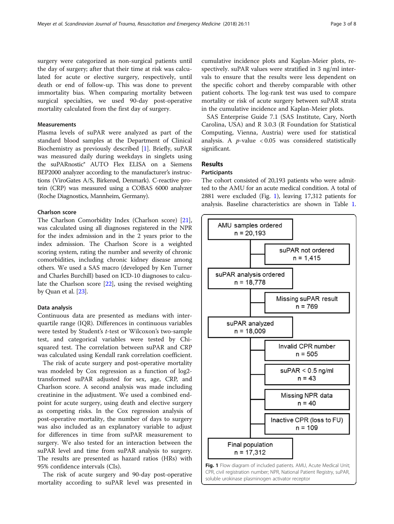surgery were categorized as non-surgical patients until the day of surgery; after that their time at risk was calculated for acute or elective surgery, respectively, until death or end of follow-up. This was done to prevent immortality bias. When comparing mortality between surgical specialties, we used 90-day post-operative mortality calculated from the first day of surgery.

## **Measurements**

Plasma levels of suPAR were analyzed as part of the standard blood samples at the Department of Clinical Biochemistry as previously described [\[1](#page-6-0)]. Briefly, suPAR was measured daily during weekdays in singlets using the suPARnostic® AUTO Flex ELISA on a Siemens BEP2000 analyzer according to the manufacturer's instructions (ViroGates A/S, Birkerød, Denmark). C-reactive protein (CRP) was measured using a COBAS 6000 analyzer (Roche Diagnostics, Mannheim, Germany).

## Charlson score

The Charlson Comorbidity Index (Charlson score) [[21](#page-6-0)], was calculated using all diagnoses registered in the NPR for the index admission and in the 2 years prior to the index admission. The Charlson Score is a weighted scoring system, rating the number and severity of chronic comorbidities, including chronic kidney disease among others. We used a SAS macro (developed by Ken Turner and Charles Burchill) based on ICD-10 diagnoses to calculate the Charlson score [\[22\]](#page-6-0), using the revised weighting by Quan et al. [\[23\]](#page-6-0).

## Data analysis

Continuous data are presented as medians with interquartile range (IQR). Differences in continuous variables were tested by Student's *t*-test or Wilcoxon's two-sample test, and categorical variables were tested by Chisquared test. The correlation between suPAR and CRP was calculated using Kendall rank correlation coefficient.

The risk of acute surgery and post-operative mortality was modeled by Cox regression as a function of log2 transformed suPAR adjusted for sex, age, CRP, and Charlson score. A second analysis was made including creatinine in the adjustment. We used a combined endpoint for acute surgery, using death and elective surgery as competing risks. In the Cox regression analysis of post-operative mortality, the number of days to surgery was also included as an explanatory variable to adjust for differences in time from suPAR measurement to surgery. We also tested for an interaction between the suPAR level and time from suPAR analysis to surgery. The results are presented as hazard ratios (HRs) with 95% confidence intervals (CIs).

The risk of acute surgery and 90-day post-operative mortality according to suPAR level was presented in

cumulative incidence plots and Kaplan-Meier plots, respectively. suPAR values were stratified in 3 ng/ml intervals to ensure that the results were less dependent on the specific cohort and thereby comparable with other patient cohorts. The log-rank test was used to compare mortality or risk of acute surgery between suPAR strata in the cumulative incidence and Kaplan-Meier plots.

SAS Enterprise Guide 7.1 (SAS Institute, Cary, North Carolina, USA) and R 3.0.3 (R Foundation for Statistical Computing, Vienna, Austria) were used for statistical analysis. A  $p$ -value < 0.05 was considered statistically significant.

## Results

### Participants

The cohort consisted of 20,193 patients who were admitted to the AMU for an acute medical condition. A total of 2881 were excluded (Fig. 1), leaving 17,312 patients for analysis. Baseline characteristics are shown in Table [1](#page-3-0).

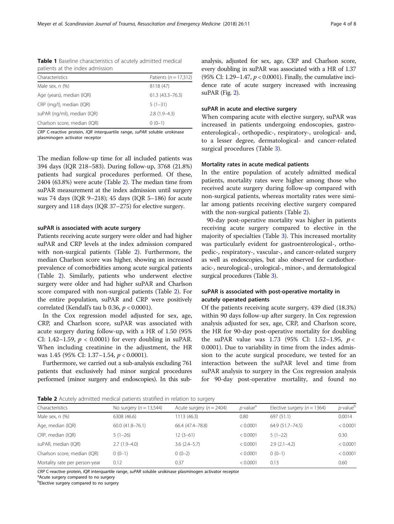<span id="page-3-0"></span>

|  | Table 1 Baseline characteristics of acutely admitted medical |  |  |
|--|--------------------------------------------------------------|--|--|
|  | patients at the index admission                              |  |  |

| Characteristics              | Patients ( $n = 17,312$ ) |
|------------------------------|---------------------------|
| Male sex, n (%)              | 8118 (47)                 |
| Age (years), median (IQR)    | $61.3(43.3 - 76.3)$       |
| CRP (mg/l), median (IQR)     | $5(1-31)$                 |
| suPAR (ng/ml), median (IQR)  | $2.8(1.9-4.3)$            |
| Charlson score, median (IQR) | $0(0-1)$                  |

CRP C-reactive protein, IQR interquartile range, suPAR soluble urokinase plasminogen activator receptor

The median follow-up time for all included patients was 394 days (IQR 218–583). During follow-up, 3768 (21.8%) patients had surgical procedures performed. Of these, 2404 (63.8%) were acute (Table 2). The median time from suPAR measurement at the index admission until surgery was 74 days (IQR 9–218); 45 days (IQR 5–186) for acute surgery and 118 days (IQR 37–275) for elective surgery.

#### suPAR is associated with acute surgery

Patients receiving acute surgery were older and had higher suPAR and CRP levels at the index admission compared with non-surgical patients (Table 2). Furthermore, the median Charlson score was higher, showing an increased prevalence of comorbidities among acute surgical patients (Table 2). Similarly, patients who underwent elective surgery were older and had higher suPAR and Charlson score compared with non-surgical patients (Table 2). For the entire population, suPAR and CRP were positively correlated (Kendall's tau b 0.36,  $p < 0.0001$ ).

In the Cox regression model adjusted for sex, age, CRP, and Charlson score, suPAR was associated with acute surgery during follow-up, with a HR of 1.50 (95% CI: 1.42–1.59,  $p < 0.0001$ ) for every doubling in suPAR. When including creatinine in the adjustment, the HR was 1.45 (95% CI: 1.37-1.54,  $p < 0.0001$ ).

Furthermore, we carried out a sub-analysis excluding 761 patients that exclusively had minor surgical procedures performed (minor surgery and endoscopies). In this subanalysis, adjusted for sex, age, CRP and Charlson score, every doubling in suPAR was associated with a HR of 1.37 (95% CI: 1.29–1.47,  $p < 0.0001$ ). Finally, the cumulative incidence rate of acute surgery increased with increasing suPAR (Fig. [2\)](#page-4-0).

## suPAR in acute and elective surgery

When comparing acute with elective surgery, suPAR was increased in patients undergoing endoscopies, gastroenterological-, orthopedic-, respiratory-, urological- and, to a lesser degree, dermatological- and cancer-related surgical procedures (Table [3](#page-5-0)).

## Mortality rates in acute medical patients

In the entire population of acutely admitted medical patients, mortality rates were higher among those who received acute surgery during follow-up compared with non-surgical patients, whereas mortality rates were similar among patients receiving elective surgery compared with the non-surgical patients (Table 2).

90-day post-operative mortality was higher in patients receiving acute surgery compared to elective in the majority of specialties (Table [3](#page-5-0)). This increased mortality was particularly evident for gastroenterological-, orthopedic-, respiratory-, vascular-, and cancer-related surgery as well as endoscopies, but also observed for cardiothoracic-, neurological-, urological-, minor-, and dermatological surgical procedures (Table [3\)](#page-5-0).

## suPAR is associated with post-operative mortality in acutely operated patients

Of the patients receiving acute surgery, 439 died (18.3%) within 90 days follow-up after surgery. In Cox regression analysis adjusted for sex, age, CRP, and Charlson score, the HR for 90-day post-operative mortality for doubling the suPAR value was 1.73 (95% CI: 1.52-1.95,  $p <$ 0.0001). Due to variability in time from the index admission to the acute surgical procedure, we tested for an interaction between the suPAR level and time from suPAR analysis to surgery in the Cox regression analysis for 90-day post-operative mortality, and found no

**Table 2** Acutely admitted medical patients stratified in relation to surgery

| Characteristics                | No surgery ( $n = 13,544$ ) | Acute surgery ( $n = 2404$ ) | $p$ -value <sup>a</sup> | Elective surgery ( $n = 1364$ ) | $p$ -value $^{\circ}$ |  |  |
|--------------------------------|-----------------------------|------------------------------|-------------------------|---------------------------------|-----------------------|--|--|
| Male sex, n (%)                | 6308 (46.6)                 | 1113 (46.3)                  | 0.80                    | 697 (51.1)                      | 0.0014                |  |  |
| Age, median (IQR)              | $60.0(41.8 - 76.1)$         | 66.4 (47.4-78.8)             | < 0.0001                | 64.9 (51.7-74.5)                | < 0.0001              |  |  |
| CRP, median (IQR)              | $5(1-26)$                   | $12(3-61)$                   | < 0.0001                | $5(1-22)$                       | 0.30                  |  |  |
| suPAR, median (IQR)            | $2.7(1.9-4.0)$              | $3.6(2.4-5.7)$               | < 0.0001                | $2.9(2.1-4.2)$                  | < 0.0001              |  |  |
| Charlson score, median (IQR)   | $0(0-1)$                    | $0(0-2)$                     | < 0.0001                | $0(0-1)$                        | < 0.0001              |  |  |
| Mortality rate per person-year | 0.12                        | 0.37                         | < 0.0001                | 0.13                            | 0.60                  |  |  |

CRP C-reactive protein, IQR interquartile range, suPAR soluble urokinase plasminogen activator receptor

<sup>a</sup>Acute surgery compared to no surgery

b Elective surgery compared to no surgery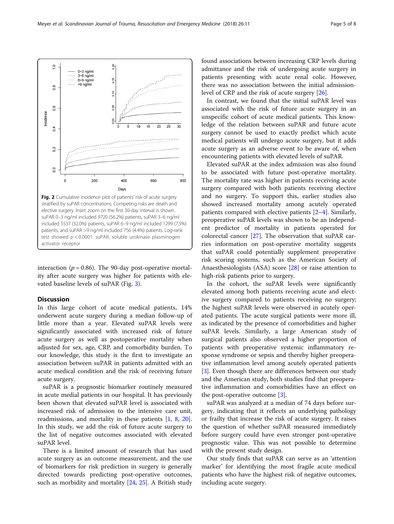<span id="page-4-0"></span>

interaction ( $p = 0.86$ ). The 90-day post-operative mortality after acute surgery was higher for patients with elevated baseline levels of suPAR (Fig. [3\)](#page-5-0).

## Discussion

In this large cohort of acute medical patients, 14% underwent acute surgery during a median follow-up of little more than a year. Elevated suPAR levels were significantly associated with increased risk of future acute surgery as well as postoperative mortality when adjusted for sex, age, CRP, and comorbidity burden. To our knowledge, this study is the first to investigate an association between suPAR in patients admitted with an acute medical condition and the risk of receiving future acute surgery.

suPAR is a prognostic biomarker routinely measured in acute medial patients in our hospital. It has previously been shown that elevated suPAR level is associated with increased risk of admission to the intensive care unit, readmissions, and mortality in these patients [\[1](#page-6-0), [8](#page-6-0), [20](#page-6-0)]. In this study, we add the risk of future acute surgery to the list of negative outcomes associated with elevated suPAR level.

There is a limited amount of research that has used acute surgery as an outcome measurement, and the use of biomarkers for risk prediction in surgery is generally directed towards predicting post-operative outcomes, such as morbidity and mortality [\[24,](#page-7-0) [25\]](#page-7-0). A British study

found associations between increasing CRP levels during admittance and the risk of undergoing acute surgery in patients presenting with acute renal colic. However, there was no association between the initial admissionlevel of CRP and the risk of acute surgery [\[26](#page-7-0)].

In contrast, we found that the initial suPAR level was associated with the risk of future acute surgery in an unspecific cohort of acute medical patients. This knowledge of the relation between suPAR and future acute surgery cannot be used to exactly predict which acute medical patients will undergo acute surgery, but it adds acute surgery as an adverse event to be aware of, when encountering patients with elevated levels of suPAR.

Elevated suPAR at the index admission was also found to be associated with future post-operative mortality. The mortality rate was higher in patients receiving acute surgery compared with both patients receiving elective and no surgery. To support this, earlier studies also showed increased mortality among acutely operated patients compared with elective patients [\[2](#page-6-0)–[4](#page-6-0)]. Similarly, preoperative suPAR levels was shown to be an independent predictor of mortality in patients operated for colorectal cancer [[27\]](#page-7-0). The observation that suPAR carries information on post-operative mortality suggests that suPAR could potentially supplement preoperative risk scoring systems, such as the American Society of Anaesthesiologists (ASA) score [[28](#page-7-0)] or raise attention to high-risk patients prior to surgery.

In the cohort, the suPAR levels were significantly elevated among both patients receiving acute and elective surgery compared to patients receiving no surgery; the highest suPAR levels were observed in acutely operated patients. The acute surgical patients were more ill, as indicated by the presence of comorbidities and higher suPAR levels. Similarly, a large American study of surgical patients also observed a higher proportion of patients with preoperative systemic inflammatory response syndrome or sepsis and thereby higher preoperative inflammation level among acutely operated patients [[3\]](#page-6-0). Even though there are differences between our study and the American study, both studies find that preoperative inflammation and comorbidities have an effect on the post-operative outcome [\[3](#page-6-0)].

suPAR was analyzed at a median of 74 days before surgery, indicating that it reflects an underlying pathology or frailty that increase the risk of acute surgery. It raises the question of whether suPAR measured immediately before surgery could have even stronger post-operative prognostic value. This was not possible to determine with the present study design.

Our study finds that suPAR can serve as an 'attention marker' for identifying the most fragile acute medical patients who have the highest risk of negative outcomes, including acute surgery.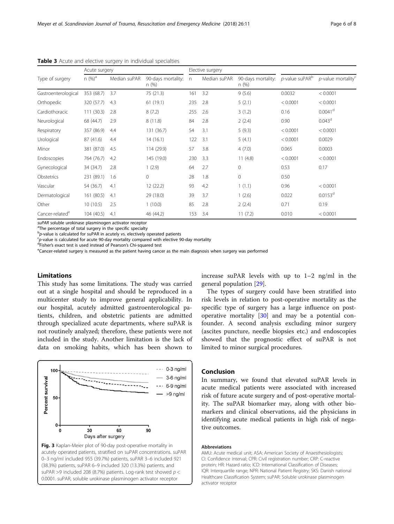|                             | Acute surgery |              | Elective surgery           |          |              |                                                           |          |                                   |
|-----------------------------|---------------|--------------|----------------------------|----------|--------------|-----------------------------------------------------------|----------|-----------------------------------|
| Type of surgery             | $n (%)^a$     | Median suPAR | 90-days mortality:<br>n(%) | $\Gamma$ | Median suPAR | 90-days mortality: $p$ -value suPAR <sup>b</sup><br>n (%) |          | $p$ -value mortality <sup>c</sup> |
| Gastroenterological         | 353 (68.7)    | 3.7          | 75 (21.3)                  | 161      | 3.2          | 9(5.6)                                                    | 0.0032   | < 0.0001                          |
| Orthopedic                  | 320 (57.7)    | 4.3          | 61(19.1)                   | 235      | 2.8          | 5(2.1)                                                    | < 0.0001 | < 0.0001                          |
| Cardiothoracic              | 111(30.3)     | 2.8          | 8(7.2)                     | 255      | 2.6          | 3(1.2)                                                    | 0.16     | $0.0041$ <sup>d</sup>             |
| Neurological                | 68 (44.7)     | 2.9          | 8(11.8)                    | 84       | 2.8          | 2(2.4)                                                    | 0.90     | 0.043 <sup>d</sup>                |
| Respiratory                 | 357 (86.9)    | 4.4          | 131 (36.7)                 | 54       | 3.1          | 5(9.3)                                                    | < 0.0001 | < 0.0001                          |
| Urological                  | 87 (41.6)     | 4.4          | 14(16.1)                   | 122      | 3.1          | 5(4.1)                                                    | < 0.0001 | 0.0029                            |
| Minor                       | 381 (87.0)    | 4.5          | 114 (29.9)                 | 57       | 3.8          | 4(7.0)                                                    | 0.065    | 0.0003                            |
| Endoscopies                 | 764 (76.7)    | 4.2          | 145 (19.0)                 | 230      | 3.3          | 11(4.8)                                                   | < 0.0001 | < 0.0001                          |
| Gynecological               | 34 (34.7)     | 2.8          | 1(2.9)                     | 64       | 2.7          | $\mathbf{0}$                                              | 0.53     | 0.17                              |
| Obstetrics                  | 231 (89.1)    | 1.6          | $\circ$                    | 28       | 1.8          | $\mathbf 0$                                               | 0.50     |                                   |
| Vascular                    | 54 (36.7)     | 4.1          | 12(22.2)                   | 93       | 4.2          | 1(1.1)                                                    | 0.96     | < 0.0001                          |
| Dermatological              | 161 (80.5)    | 4.1          | 29 (18.0)                  | 39       | 3.7          | 1(2.6)                                                    | 0.022    | 0.0153 <sup>d</sup>               |
| Other                       | 10(10.5)      | 2.5          | 1(10.0)                    | 85       | 2.8          | 2(2.4)                                                    | 0.71     | 0.19                              |
| Cancer-related <sup>e</sup> | 104(40.5)     | 4.1          | 46 (44.2)                  | 153      | 3.4          | 11(7.2)                                                   | 0.010    | < 0.0001                          |

<span id="page-5-0"></span>Table 3 Acute and elective surgery in individual specialties

suPAR soluble urokinase plasminogen activator receptor

<sup>a</sup>The percentage of total surgery in the specific specialty

b<br>
p-value is calculated for scute 90-day mortality compared with elective S

 $\epsilon_{p}$ -value is calculated for acute 90-day mortality compared with elective 90-day mortality

 $\frac{d}{dt}$ Fisher's exact test is used instead of Pearson's Chi-squared test

<sup>e</sup>Cancer-related surgery is measured as the patient having cancer as the main diagnosis when surgery was performed

## Limitations

This study has some limitations. The study was carried out at a single hospital and should be reproduced in a multicenter study to improve general applicability. In our hospital, acutely admitted gastroenterological patients, children, and obstetric patients are admitted through specialized acute departments, where suPAR is not routinely analyzed; therefore, these patients were not included in the study. Another limitation is the lack of data on smoking habits, which has been shown to



increase suPAR levels with up to 1–2 ng/ml in the general population [\[29](#page-7-0)].

The types of surgery could have been stratified into risk levels in relation to post-operative mortality as the specific type of surgery has a large influence on postoperative mortality [\[30](#page-7-0)] and may be a potential confounder. A second analysis excluding minor surgery (ascites puncture, needle biopsies etc.) and endoscopies showed that the prognostic effect of suPAR is not limited to minor surgical procedures.

## Conclusion

In summary, we found that elevated suPAR levels in acute medical patients were associated with increased risk of future acute surgery and of post-operative mortality. The suPAR biomarker may, along with other biomarkers and clinical observations, aid the physicians in identifying acute medical patients in high risk of negative outcomes.

#### Abbreviations

AMU: Acute medical unit; ASA: American Society of Anaesthesiologists; CI: Confidence interval; CPR: Civil registration number; CRP: C-reactive protein; HR: Hazard ratio; ICD: International Classification of Diseases; IQR: Interquartile range; NPR: National Patient Registry; SKS: Danish national Healthcare Classification System; suPAR: Soluble urokinase plasminogen activator receptor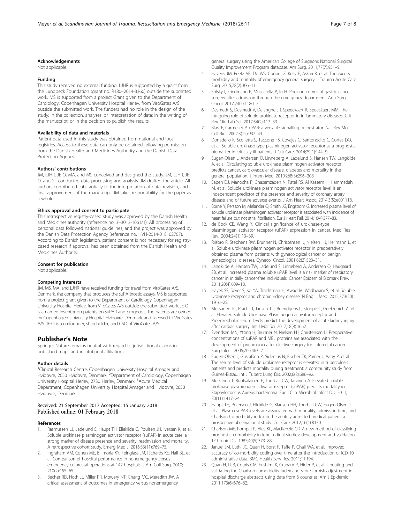## <span id="page-6-0"></span>Acknowledgements

Not applicaple.

## Funding

This study received no external funding. LJHR is supported by a grant from the Lundbeck Foundation (grant no. R180–2014-3360) outside the submitted work. MS is supported from a project Grant given to the Department of Cardiology, Copenhagen University Hospital Herlev, from ViroGates A/S outside the submitted work. The funders had no role in the design of the study; in the collection, analyses, or interpretation of data; in the writing of the manuscript; or in the decision to publish the results.

#### Availability of data and materials

Patient data used in this study was obtained from national and local registries. Access to these data can only be obtained following permission from the Danish Health and Medicines Authority and the Danish Data Protection Agency.

#### Authors' contributions

JM, LJHR, JE-O, MA, and MS conceived and designed the study. JM, LJHR, JE-O, and SL conducted data processing and analysis. JM drafted the article. All authors contributed substantially to the interpretation of data, revision, and final approvement of the manuscript. JM takes responsibility for the paper as a whole.

#### Ethics approval and consent to participate

This retrospective registry-based study was approved by the Danish Health and Medicines authority (reference no. 3–3013-1061/1). All processing of personal data followed national guidelines, and the project was approved by the Danish Data Protection Agency (reference no. HVH-2014-018, 02767). According to Danish legislation, patient consent is not necessary for registrybased research if approval has been obtained from the Danish Health and Medicines Authority.

#### Consent for publication

Not applicable.

#### Competing interests

JM, MS, MA, and LJHR have received funding for travel from ViroGates A/S, Denmark, the company that produces the suPARnostic assays. MS is supported from a project grant given to the Department of Cardiology, Copenhagen University Hospital Herlev, from ViroGates A/S outside the submitted work. JE-O is a named inventor on patents on suPAR and prognosis. The patents are owned by Copenhagen University Hospital Hvidovre, Denmark, and licensed to ViroGates A/S. JE-O is a co-founder, shareholder, and CSO of ViroGates A/S.

#### Publisher's Note

Springer Nature remains neutral with regard to jurisdictional claims in published maps and institutional affiliations.

#### Author details

<sup>1</sup>Clinical Research Centre, Copenhagen University Hospital Amager and Hvidovre, 2650 Hvidovre, Denmark. <sup>2</sup>Department of Cardiology, Copenhagen University Hospital Herlev, 2730 Herlev, Denmark. <sup>3</sup> Acute Medical Department, Copenhagen University Hospital Amager and Hvidovre, 2650 Hvidovre, Denmark.

## Received: 21 September 2017 Accepted: 15 January 2018 Published online: 01 February 2018

## References

- Rasmussen LJ, Ladelund S, Haupt TH, Ellekilde G, Poulsen JH, Iversen K, et al. Soluble urokinase plasminogen activator receptor (suPAR) in acute care: a strong marker of disease presence and severity, readmission and mortality. A retrospective cohort study. Emerg Med J. 2016;33(11):769–75.
- 2. Ingraham AM, Cohen ME, Bilimoria KY, Feinglass JM, Richards KE, Hall BL, et al. Comparison of hospital performance in nonemergency versus emergency colorectal operations at 142 hospitals. J Am Coll Surg. 2010; 210(2):155–65.
- 3. Becher RD, Hoth JJ, Miller PR, Mowery NT, Chang MC, Meredith JW. A critical assessment of outcomes in emergency versus nonemergency

general surgery using the American College of Surgeons National Surgical Quality Improvement Program database. Am Surg. 2011;77(7):951–9.

- 4. Havens JM, Peetz AB, Do WS, Cooper Z, Kelly E, Askari R, et al. The excess morbidity and mortality of emergency general surgery. J Trauma Acute Care Surg. 2015;78(2):306–11.
- 5. Solsky I, Friedmann P, Muscarella P, In H. Poor outcomes of gastric cancer surgery after admission through the emergency department. Ann Surg Oncol. 2017;24(5):1180–7.
- 6. Desmedt S, Desmedt V, Delanghe JR, Speeckaert R, Speeckaert MM. The intriguing role of soluble urokinase receptor in inflammatory diseases. Crit Rev Clin Lab Sci. 2017;54(2):117–33.
- 7. Blasi F, Carmeliet P. uPAR: a versatile signalling orchestrator. Nat Rev Mol Cell Biol. 2002;3(12):932–43.
- 8. Donadello K, Scolletta S, Taccone FS, Covajes C, Santonocito C, Cortes DO, et al. Soluble urokinase-type plasminogen activator receptor as a prognostic biomarker in critically ill patients. J Crit Care. 2014;29(1):144–9.
- 9. Eugen-Olsen J, Andersen O, Linneberg A, Ladelund S, Hansen TW, Langkilde A, et al. Circulating soluble urokinase plasminogen activator receptor predicts cancer, cardiovascular disease, diabetes and mortality in the general population. J Intern Med. 2010;268(3):296–308.
- 10. Eapen DJ, Manocha P, Ghasemzadeh N, Patel RS, Al Kassem H, Hammadah M, et al. Soluble urokinase plasminogen activator receptor level is an independent predictor of the presence and severity of coronary artery disease and of future adverse events. J Am Heart Assoc. 2014;3(5):e001118.
- 11. Borne Y, Persson M, Melander O, Smith JG, Engstrom G. Increased plasma level of soluble urokinase plasminogen activator receptor is associated with incidence of heart failure but not atrial fibrillation. Eur J Heart Fail. 2014;16(4):377–83.
- 12. de Bock CE, Wang Y. Clinical significance of urokinase-type plasminogen activator receptor (uPAR) expression in cancer. Med Res Rev. 2004;24(1):13–39.
- 13. Riisbro R, Stephens RW, Brunner N, Christensen IJ, Nielsen HJ, Heilmann L, et al. Soluble urokinase plasminogen activator receptor in preoperatively obtained plasma from patients with gynecological cancer or benign gynecological diseases. Gynecol Oncol. 2001;82(3):523–31.
- 14. Langkilde A, Hansen TW, Ladelund S, Linneberg A, Andersen O, Haugaard SB, et al. Increased plasma soluble uPAR level is a risk marker of respiratory cancer in initially cancer-free individuals. Cancer Epidemiol Biomark Prev. 2011;20(4):609–18.
- 15. Hayek SS, Sever S, Ko YA, Trachtman H, Awad M, Wadhwani S, et al. Soluble Urokinase receptor and chronic kidney disease. N Engl J Med. 2015;373(20): 1916–25.
- 16. Mossanen JC, Pracht J, Jansen TU, Buendgens L, Stoppe C, Goetzenich A, et al. Elevated soluble Urokinase Plasminogen activator receptor and Proenkephalin serum levels predict the development of acute kidney injury after cardiac surgery. Int J Mol Sci. 2017;18(8):1662.
- 17. Svendsen MN, Ytting H, Brunner N, Nielsen HJ, Christensen IJ. Preoperative concentrations of suPAR and MBL proteins are associated with the development of pneumonia after elective surgery for colorectal cancer. Surg Infect. 2006;7(5):463–71.
- 18. Eugen-Olsen J, Gustafson P, Sidenius N, Fischer TK, Parner J, Aaby P, et al. The serum level of soluble urokinase receptor is elevated in tuberculosis patients and predicts mortality during treatment: a community study from Guinea-Bissau. Int J Tuberc Lung Dis. 2002;6(8):686–92.
- 19. Molkanen T, Ruotsalainen E, Thorball CW, Jarvinen A. Elevated soluble urokinase plasminogen activator receptor (suPAR) predicts mortality in Staphylococcus Aureus bacteremia. Eur J Clin Microbiol Infect Dis. 2011; 30(11):1417–24.
- 20. Haupt TH, Petersen J, Ellekilde G, Klausen HH, Thorball CW, Eugen-Olsen J, et al. Plasma suPAR levels are associated with mortality, admission time, and Charlson Comorbidity index in the acutely admitted medical patient: a prospective observational study. Crit Care. 2012;16(4):R130.
- 21. Charlson ME, Pompei P, Ales KL, MacKenzie CR. A new method of classifying prognostic comorbidity in longitudinal studies: development and validation. J Chronic Dis. 1987;40(5):373–83.
- 22. Januel JM, Luthi JC, Quan H, Borst F, Taffe P, Ghali WA, et al. Improved accuracy of co-morbidity coding over time after the introduction of ICD-10 administrative data. BMC Health Serv Res. 2011;11:194.
- 23. Quan H, Li B, Couris CM, Fushimi K, Graham P, Hider P, et al. Updating and validating the Charlson comorbidity index and score for risk adjustment in hospital discharge abstracts using data from 6 countries. Am J Epidemiol. 2011;173(6):676–82.